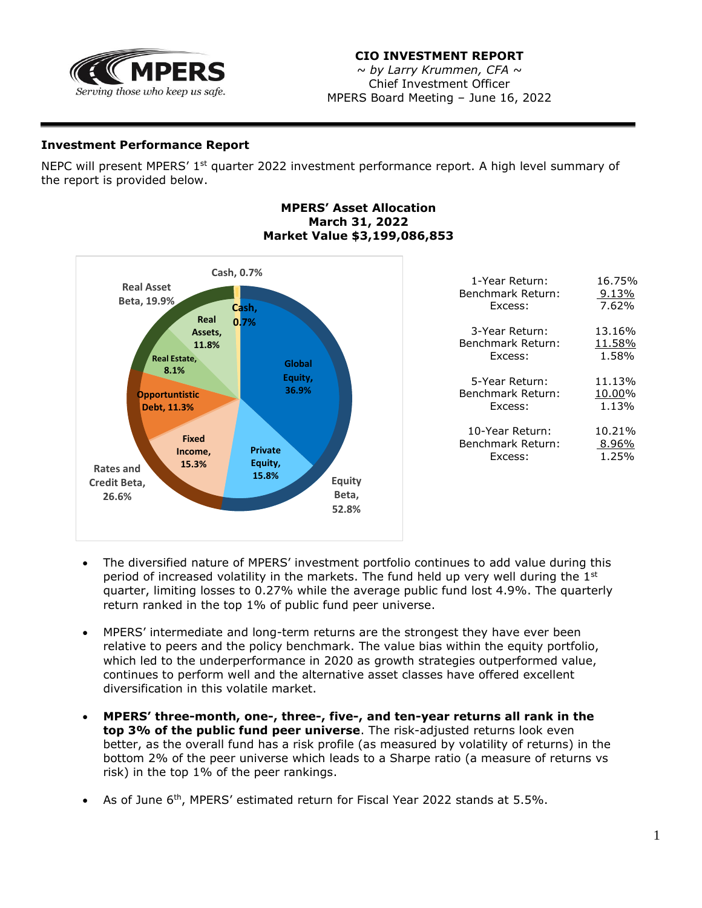

## **CIO INVESTMENT REPORT**

*~ by Larry Krummen, CFA* ~ Chief Investment Officer MPERS Board Meeting – June 16, 2022

## **Investment Performance Report**

NEPC will present MPERS' 1<sup>st</sup> quarter 2022 investment performance report. A high level summary of the report is provided below.

## **MPERS' Asset Allocation March 31, 2022 Market Value \$3,199,086,853**



- The diversified nature of MPERS' investment portfolio continues to add value during this period of increased volatility in the markets. The fund held up very well during the  $1<sup>st</sup>$ quarter, limiting losses to 0.27% while the average public fund lost 4.9%. The quarterly return ranked in the top 1% of public fund peer universe.
- MPERS' intermediate and long-term returns are the strongest they have ever been relative to peers and the policy benchmark. The value bias within the equity portfolio, which led to the underperformance in 2020 as growth strategies outperformed value, continues to perform well and the alternative asset classes have offered excellent diversification in this volatile market.
- **MPERS' three-month, one-, three-, five-, and ten-year returns all rank in the top 3% of the public fund peer universe**. The risk-adjusted returns look even better, as the overall fund has a risk profile (as measured by volatility of returns) in the bottom 2% of the peer universe which leads to a Sharpe ratio (a measure of returns vs risk) in the top 1% of the peer rankings.
- As of June  $6<sup>th</sup>$ , MPERS' estimated return for Fiscal Year 2022 stands at 5.5%.